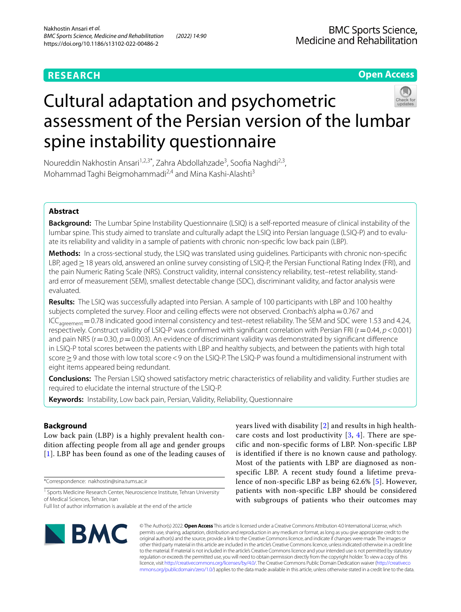## **RESEARCH**

**Open Access**

# Cultural adaptation and psychometric assessment of the Persian version of the lumbar spine instability questionnaire



Noureddin Nakhostin Ansari<sup>1,2,3\*</sup>, Zahra Abdollahzade<sup>3</sup>, Soofia Naghdi<sup>2,3</sup>, Mohammad Taghi Beigmohammadi<sup>2,4</sup> and Mina Kashi-Alashti<sup>3</sup>

## **Abstract**

**Background:** The Lumbar Spine Instability Questionnaire (LSIQ) is a self-reported measure of clinical instability of the lumbar spine. This study aimed to translate and culturally adapt the LSIQ into Persian language (LSIQ-P) and to evaluate its reliability and validity in a sample of patients with chronic non-specifc low back pain (LBP).

**Methods:** In a cross-sectional study, the LSIQ was translated using guidelines. Participants with chronic non-specifc LBP, aged > 18 years old, answered an online survey consisting of LSIQ-P, the Persian Functional Rating Index (FRI), and the pain Numeric Rating Scale (NRS). Construct validity, internal consistency reliability, test–retest reliability, standard error of measurement (SEM), smallest detectable change (SDC), discriminant validity, and factor analysis were evaluated.

**Results:** The LSIQ was successfully adapted into Persian. A sample of 100 participants with LBP and 100 healthy subjects completed the survey. Floor and ceiling effects were not observed. Cronbach's alpha = 0.767 and ICC<sub>agreement</sub> = 0.78 indicated good internal consistency and test–retest reliability. The SEM and SDC were 1.53 and 4.24, respectively. Construct validity of LSIQ-P was confrmed with signifcant correlation with Persian FRI (r=0.44, *p*<0.001) and pain NRS (r=0.30, *p*=0.003). An evidence of discriminant validity was demonstrated by significant difference in LSIQ-P total scores between the patients with LBP and healthy subjects, and between the patients with high total score≥9 and those with low total score<9 on the LSIQ-P. The LSIQ-P was found a multidimensional instrument with eight items appeared being redundant.

**Conclusions:** The Persian LSIQ showed satisfactory metric characteristics of reliability and validity. Further studies are required to elucidate the internal structure of the LSIQ-P.

**Keywords:** Instability, Low back pain, Persian, Validity, Reliability, Questionnaire

## **Background**

Low back pain (LBP) is a highly prevalent health condition affecting people from all age and gender groups [[1](#page-6-0)]. LBP has been found as one of the leading causes of

\*Correspondence: nakhostin@sina.tums.ac.ir

care costs and lost productivity  $[3, 4]$  $[3, 4]$  $[3, 4]$ . There are specific and non-specific forms of LBP. Non-specific LBP is identified if there is no known cause and pathology. Most of the patients with LBP are diagnosed as nonspecific LBP. A recent study found a lifetime prevalence of non-specific LBP as being 62.6% [[5](#page-6-4)]. However, patients with non-specific LBP should be considered with subgroups of patients who their outcomes may

years lived with disability [\[2](#page-6-1)] and results in high health-



© The Author(s) 2022. **Open Access** This article is licensed under a Creative Commons Attribution 4.0 International License, which permits use, sharing, adaptation, distribution and reproduction in any medium or format, as long as you give appropriate credit to the original author(s) and the source, provide a link to the Creative Commons licence, and indicate if changes were made. The images or other third party material in this article are included in the article's Creative Commons licence, unless indicated otherwise in a credit line to the material. If material is not included in the article's Creative Commons licence and your intended use is not permitted by statutory regulation or exceeds the permitted use, you will need to obtain permission directly from the copyright holder. To view a copy of this licence, visit [http://creativecommons.org/licenses/by/4.0/.](http://creativecommons.org/licenses/by/4.0/) The Creative Commons Public Domain Dedication waiver ([http://creativeco](http://creativecommons.org/publicdomain/zero/1.0/) [mmons.org/publicdomain/zero/1.0/](http://creativecommons.org/publicdomain/zero/1.0/)) applies to the data made available in this article, unless otherwise stated in a credit line to the data.

<sup>&</sup>lt;sup>1</sup> Sports Medicine Research Center, Neuroscience Institute, Tehran University of Medical Sciences, Tehran, Iran

Full list of author information is available at the end of the article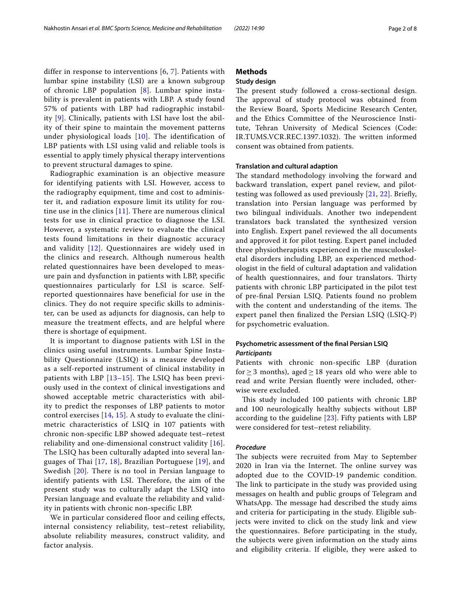differ in response to interventions [[6](#page-6-5), [7\]](#page-6-6). Patients with lumbar spine instability (LSI) are a known subgroup of chronic LBP population [[8\]](#page-6-7). Lumbar spine instability is prevalent in patients with LBP. A study found 57% of patients with LBP had radiographic instability [\[9\]](#page-6-8). Clinically, patients with LSI have lost the ability of their spine to maintain the movement patterns under physiological loads [[10](#page-6-9)]. The identification of LBP patients with LSI using valid and reliable tools is essential to apply timely physical therapy interventions to prevent structural damages to spine.

Radiographic examination is an objective measure for identifying patients with LSI. However, access to the radiography equipment, time and cost to administer it, and radiation exposure limit its utility for routine use in the clinics  $[11]$  $[11]$ . There are numerous clinical tests for use in clinical practice to diagnose the LSI. However, a systematic review to evaluate the clinical tests found limitations in their diagnostic accuracy and validity [[12](#page-6-11)]. Questionnaires are widely used in the clinics and research. Although numerous health related questionnaires have been developed to measure pain and dysfunction in patients with LBP, specific questionnaires particularly for LSI is scarce. Selfreported questionnaires have beneficial for use in the clinics. They do not require specific skills to administer, can be used as adjuncts for diagnosis, can help to measure the treatment effects, and are helpful where there is shortage of equipment.

It is important to diagnose patients with LSI in the clinics using useful instruments. Lumbar Spine Instability Questionnaire (LSIQ) is a measure developed as a self-reported instrument of clinical instability in patients with LBP  $[13-15]$  $[13-15]$  $[13-15]$ . The LSIQ has been previously used in the context of clinical investigations and showed acceptable metric characteristics with ability to predict the responses of LBP patients to motor control exercises  $[14, 15]$  $[14, 15]$  $[14, 15]$ . A study to evaluate the clinimetric characteristics of LSIQ in 107 patients with chronic non-specific LBP showed adequate test–retest reliability and one-dimensional construct validity [[16\]](#page-6-15). The LSIQ has been culturally adapted into several languages of Thai [[17](#page-6-16), [18\]](#page-6-17), Brazilian Portuguese [[19](#page-6-18)], and Swedish [[20\]](#page-7-0). There is no tool in Persian language to identify patients with LSI. Therefore, the aim of the present study was to culturally adapt the LSIQ into Persian language and evaluate the reliability and validity in patients with chronic non-specific LBP.

We in particular considered floor and ceiling effects, internal consistency reliability, test–retest reliability, absolute reliability measures, construct validity, and factor analysis.

## **Methods**

## **Study design**

The present study followed a cross-sectional design. The approval of study protocol was obtained from the Review Board, Sports Medicine Research Center, and the Ethics Committee of the Neuroscience Institute, Tehran University of Medical Sciences (Code: IR.TUMS.VCR.REC.1397.1032). The written informed consent was obtained from patients.

#### **Translation and cultural adaption**

The standard methodology involving the forward and backward translation, expert panel review, and pilottesting was followed as used previously [[21,](#page-7-1) [22](#page-7-2)]. Briefy, translation into Persian language was performed by two bilingual individuals. Another two independent translators back translated the synthesized version into English. Expert panel reviewed the all documents and approved it for pilot testing. Expert panel included three physiotherapists experienced in the musculoskeletal disorders including LBP, an experienced methodologist in the feld of cultural adaptation and validation of health questionnaires, and four translators. Thirty patients with chronic LBP participated in the pilot test of pre-fnal Persian LSIQ. Patients found no problem with the content and understanding of the items. The expert panel then fnalized the Persian LSIQ (LSIQ-P) for psychometric evaluation.

## **Psychometric assessment of the fnal Persian LSIQ** *Participants*

Patients with chronic non-specifc LBP (duration for  $\geq$  3 months), aged  $\geq$  18 years old who were able to read and write Persian fuently were included, otherwise were excluded.

This study included 100 patients with chronic LBP and 100 neurologically healthy subjects without LBP according to the guideline  $[23]$  $[23]$  $[23]$ . Fifty patients with LBP were considered for test–retest reliability.

## *Procedure*

The subjects were recruited from May to September 2020 in Iran via the Internet. The online survey was adopted due to the COVID-19 pandemic condition. The link to participate in the study was provided using messages on health and public groups of Telegram and WhatsApp. The message had described the study aims and criteria for participating in the study. Eligible subjects were invited to click on the study link and view the questionnaires. Before participating in the study, the subjects were given information on the study aims and eligibility criteria. If eligible, they were asked to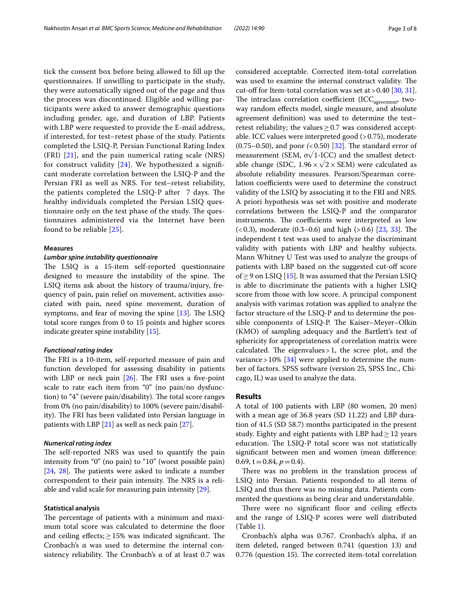tick the consent box before being allowed to fll up the questionnaires. If unwilling to participate in the study, they were automatically signed out of the page and thus the process was discontinued. Eligible and willing participants were asked to answer demographic questions including gender, age, and duration of LBP. Patients with LBP were requested to provide the E-mail address, if interested, for test–retest phase of the study. Patients completed the LSIQ-P, Persian Functional Rating Index (FRI) [[21\]](#page-7-1), and the pain numerical rating scale (NRS) for construct validity  $[24]$  $[24]$ . We hypothesized a significant moderate correlation between the LSIQ-P and the Persian FRI as well as NRS. For test–retest reliability, the patients completed the LSIQ-P after  $\,$  7 days. The healthy individuals completed the Persian LSIQ questionnaire only on the test phase of the study. The questionnaires administered via the Internet have been found to be reliable [\[25](#page-7-5)].

### **Measures**

## *Lumbar spine instability questionnaire*

The LSIQ is a 15-item self-reported questionnaire designed to measure the instability of the spine. The LSIQ items ask about the history of trauma/injury, frequency of pain, pain relief on movement, activities associated with pain, need spine movement, duration of symptoms, and fear of moving the spine  $[13]$  $[13]$ . The LSIQ total score ranges from 0 to 15 points and higher scores indicate greater spine instability [\[15](#page-6-13)].

#### *Functional rating index*

The FRI is a 10-item, self-reported measure of pain and function developed for assessing disability in patients with LBP or neck pain  $[26]$  $[26]$ . The FRI uses a five-point scale to rate each item from "0" (no pain/no dysfunction) to "4" (severe pain/disability). The total score ranges from 0% (no pain/disability) to 100% (severe pain/disability). The FRI has been validated into Persian language in patients with LBP [[21\]](#page-7-1) as well as neck pain [\[27\]](#page-7-7).

## *Numerical rating index*

The self-reported NRS was used to quantify the pain intensity from "0" (no pain) to "10" (worst possible pain)  $[24, 28]$  $[24, 28]$  $[24, 28]$  $[24, 28]$ . The patients were asked to indicate a number correspondent to their pain intensity. The NRS is a reliable and valid scale for measuring pain intensity [\[29](#page-7-9)].

## **Statistical analysis**

The percentage of patients with a minimum and maximum total score was calculated to determine the floor and ceiling effects;  $\geq$  15% was indicated significant. The Cronbach's α was used to determine the internal consistency reliability. The Cronbach's  $\alpha$  of at least 0.7 was considered acceptable. Corrected item-total correlation was used to examine the internal construct validity. The cut-off for Item-total correlation was set at > 0.40 [[30,](#page-7-10) [31](#page-7-11)]. The intraclass correlation coefficient (ICC<sub>agreement</sub>, twoway random efects model, single measure, and absolute agreement defnition) was used to determine the test– retest reliability; the values  $\geq$  0.7 was considered acceptable. ICC values were interpreted good  $(>0.75)$ , moderate  $(0.75-0.50)$ , and poor  $(0.50)$   $[32]$ . The standard error of measurement (SEM,  $\sigma\sqrt{1-ICC}$ ) and the smallest detectable change (SDC,  $1.96 \times \sqrt{2 \times \text{SEM}}$ ) were calculated as absolute reliability measures. Pearson/Spearman correlation coefficients were used to determine the construct validity of the LSIQ by associating it to the FRI and NRS. A priori hypothesis was set with positive and moderate correlations between the LSIQ-P and the comparator instruments. The coefficients were interpreted as low  $(0.3)$ , moderate  $(0.3-0.6)$  and high  $(0.6)$  [\[23,](#page-7-3) [33](#page-7-13)]. The independent t test was used to analyze the discriminant validity with patients with LBP and healthy subjects. Mann Whitney U Test was used to analyze the groups of patients with LBP based on the suggested cut-of score of  $\geq$  9 on LSIQ [[15](#page-6-13)]. It was assumed that the Persian LSIQ is able to discriminate the patients with a higher LSIQ score from those with low score. A principal component analysis with varimax rotation was applied to analyze the factor structure of the LSIQ-P and to determine the possible components of LSIQ-P. The Kaiser-Meyer-Olkin (KMO) of sampling adequacy and the Bartlett's test of sphericity for appropriateness of correlation matrix were calculated. The eigenvalues  $>1$ , the scree plot, and the variance >  $10\%$  [\[34\]](#page-7-14) were applied to determine the number of factors. SPSS software (version 25, SPSS Inc., Chicago, IL) was used to analyze the data.

## **Results**

A total of 100 patients with LBP (80 women, 20 men) with a mean age of 36.8 years (SD 11.22) and LBP duration of 41.5 (SD 58.7) months participated in the present study. Eighty and eight patients with LBP had $\geq$  12 years education. The LSIQ-P total score was not statistically signifcant between men and women (mean diference: 0.69,  $t=0.84$ ,  $p=0.4$ ).

There was no problem in the translation process of LSIQ into Persian. Patients responded to all items of LSIQ and thus there was no missing data. Patients commented the questions as being clear and understandable.

There were no significant floor and ceiling effects and the range of LSIQ-P scores were well distributed (Table [1\)](#page-3-0).

Cronbach's alpha was 0.767. Cronbach's alpha, if an item deleted, ranged between 0.741 (question 13) and 0.776 (question 15). The corrected item-total correlation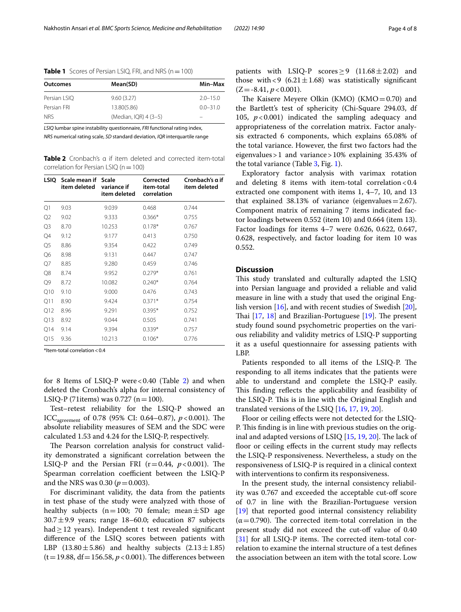<span id="page-3-0"></span>

| Outcomes     | Mean(SD)              | Min-Max      |  |  |
|--------------|-----------------------|--------------|--|--|
| Persian LSIO | 9.60(3.27)            | $2.0 - 15.0$ |  |  |
| Persian FRI  | 13.80(5.86)           | $0.0 - 31.0$ |  |  |
| <b>NRS</b>   | (Median, IOR) 4 (3-5) |              |  |  |

*LSIQ* lumbar spine instability questionnaire, *FRI* functional rating index,

*NRS* numerical rating scale, *SD* standard deviation, *IQR* interquartile range

<span id="page-3-1"></span>**Table 2** Cronbach's α if item deleted and corrected item-total correlation for Persian LSIQ ( $n=100$ )

| LSIO           | Scale mean if Scale<br>item deleted | variance if<br>item deleted | Corrected<br>item-total<br>correlation | Cronbach's α if<br>item deleted |  |
|----------------|-------------------------------------|-----------------------------|----------------------------------------|---------------------------------|--|
| Q1             | 9.03                                | 9.039                       | 0.468                                  | 0.744                           |  |
| Q2             | 9.02                                | 9.333                       | $0.366*$                               | 0.755                           |  |
| Q3             | 8.70                                | 10.253                      | $0.178*$                               | 0.767                           |  |
| Q4             | 9.12                                | 9.177                       | 0.413                                  | 0.750                           |  |
| Q <sub>5</sub> | 8.86                                | 9.354                       | 0.422                                  | 0.749                           |  |
| Q6             | 8.98                                | 9.131                       | 0.447                                  | 0.747                           |  |
| Q7             | 8.85                                | 9.280                       | 0.459                                  | 0.746                           |  |
| Q8             | 8.74                                | 9.952                       | $0.279*$                               | 0.761                           |  |
| Q9             | 8.72                                | 10.082                      | $0.240*$                               | 0.764                           |  |
| Q10            | 9.10                                | 9.000                       | 0.476                                  | 0.743                           |  |
| Q11            | 8.90                                | 9.424                       | $0.371*$                               | 0.754                           |  |
| Q12            | 8.96                                | 9.291                       | $0.395*$                               | 0.752                           |  |
| Q13            | 8.92                                | 9.044                       | 0.505                                  | 0.741                           |  |
| Q14            | 9.14                                | 9.394                       | $0.339*$                               | 0.757                           |  |
| Q15            | 9.36                                | 10.213                      | $0.106*$                               | 0.776                           |  |

\*Item-total correlation<0.4

for 8 Items of LSIQ-P were  $< 0.40$  (Table [2](#page-3-1)) and when deleted the Cronbach's alpha for internal consistency of LSIQ-P (71 items) was 0.727 ( $n = 100$ ).

Test–retest reliability for the LSIQ-P showed an ICC<sub>agreement</sub> of 0.78 (95% CI: 0.64–0.87),  $p$  < 0.001). The absolute reliability measures of SEM and the SDC were calculated 1.53 and 4.24 for the LSIQ-P, respectively.

The Pearson correlation analysis for construct validity demonstrated a signifcant correlation between the LSIQ-P and the Persian FRI  $(r=0.44, p<0.001)$ . The Spearman correlation coefficient between the LSIQ-P and the NRS was  $0.30 (p = 0.003)$ .

For discriminant validity, the data from the patients in test phase of the study were analyzed with those of healthy subjects ( $n=100$ ; 70 female; mean $\pm$ SD age  $30.7 \pm 9.9$  years; range 18–60.0; education 87 subjects had $\geq$ 12 years). Independent t test revealed significant diference of the LSIQ scores between patients with LBP  $(13.80 \pm 5.86)$  and healthy subjects  $(2.13 \pm 1.85)$  $(t=19.88, df=156.58, p<0.001)$ . The differences between patients with LSIQ-P scores  $\geq$  9 (11.68  $\pm$  2.02) and those with <9  $(6.21 \pm 1.68)$  was statistically significant  $(Z = -8.41, p < 0.001)$ .

The Kaisere Meyere Olkin (KMO) (KMO=0.70) and the Bartlett's test of sphericity (Chi-Square 294.03, df 105, *p*<0.001) indicated the sampling adequacy and appropriateness of the correlation matrix. Factor analysis extracted 6 components, which explains 65.08% of the total variance. However, the frst two factors had the eigenvalues>1 and variance>10% explaining 35.43% of the total variance (Table  $3$ , Fig. [1](#page-4-1)).

Exploratory factor analysis with varimax rotation and deleting 8 items with item-total correlation  $< 0.4$ extracted one component with items 1, 4–7, 10, and 13 that explained 38.13% of variance (eigenvalues =  $2.67$ ). Component matrix of remaining 7 items indicated factor loadings between 0.552 (item 10) and 0.664 (item 13). Factor loadings for items 4–7 were 0.626, 0.622, 0.647, 0.628, respectively, and factor loading for item 10 was 0.552.

## **Discussion**

This study translated and culturally adapted the LSIQ into Persian language and provided a reliable and valid measure in line with a study that used the original English version [\[16](#page-6-15)], and with recent studies of Swedish [\[20](#page-7-0)], Thai  $[17, 18]$  $[17, 18]$  $[17, 18]$  $[17, 18]$  and Brazilian-Portuguese  $[19]$  $[19]$ . The present study found sound psychometric properties on the various reliability and validity metrics of LSIQ-P supporting it as a useful questionnaire for assessing patients with LBP.

Patients responded to all items of the LSIQ-P. The responding to all items indicates that the patients were able to understand and complete the LSIQ-P easily. This finding reflects the applicability and feasibility of the LSIQ-P. This is in line with the Original English and translated versions of the LSIQ [[16](#page-6-15), [17,](#page-6-16) [19](#page-6-18), [20\]](#page-7-0).

Floor or ceiling effects were not detected for the LSIQ-P. This finding is in line with previous studies on the original and adapted versions of LSIQ  $[15, 19, 20]$  $[15, 19, 20]$  $[15, 19, 20]$  $[15, 19, 20]$  $[15, 19, 20]$  $[15, 19, 20]$ . The lack of floor or ceiling effects in the current study may reflects the LSIQ-P responsiveness. Nevertheless, a study on the responsiveness of LSIQ-P is required in a clinical context with interventions to confrm its responsiveness.

In the present study, the internal consistency reliability was 0.767 and exceeded the acceptable cut-of score of 0.7 in line with the Brazilian-Portuguese version [[19\]](#page-6-18) that reported good internal consistency reliability  $(\alpha=0.790)$ . The corrected item-total correlation in the present study did not exceed the cut-off value of 0.40  $[31]$  $[31]$  for all LSIQ-P items. The corrected item-total correlation to examine the internal structure of a test defnes the association between an item with the total score. Low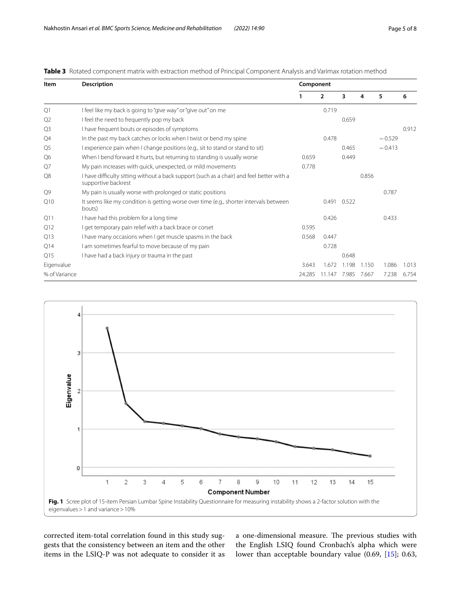| Item           | <b>Description</b>                                                                                               | Component |                |             |       |          |       |  |
|----------------|------------------------------------------------------------------------------------------------------------------|-----------|----------------|-------------|-------|----------|-------|--|
|                |                                                                                                                  |           | $\overline{2}$ | 3           | 4     | 5        | 6     |  |
| Q1             | I feel like my back is going to "give way" or "give out" on me                                                   |           | 0.719          |             |       |          |       |  |
| Q <sub>2</sub> | I feel the need to frequently pop my back                                                                        |           |                | 0.659       |       |          |       |  |
| Q <sub>3</sub> | I have frequent bouts or episodes of symptoms                                                                    |           |                |             |       |          | 0.912 |  |
| Q4             | In the past my back catches or locks when I twist or bend my spine                                               |           | 0.478          |             |       | $-0.529$ |       |  |
| Q <sub>5</sub> | I experience pain when I change positions (e.g., sit to stand or stand to sit)                                   |           |                | 0.465       |       | $-0.413$ |       |  |
| Q <sub>6</sub> | When I bend forward it hurts, but returning to standing is usually worse                                         | 0.659     |                | 0.449       |       |          |       |  |
| O7             | My pain increases with quick, unexpected, or mild movements                                                      | 0.778     |                |             |       |          |       |  |
| Q8             | I have difficulty sitting without a back support (such as a chair) and feel better with a<br>supportive backrest |           |                |             | 0.856 |          |       |  |
| O9             | My pain is usually worse with prolonged or static positions                                                      |           |                |             |       | 0.787    |       |  |
| Q10            | It seems like my condition is getting worse over time (e.g., shorter intervals between<br>bouts)                 |           |                | 0.491 0.522 |       |          |       |  |
| Q11            | I have had this problem for a long time                                                                          |           | 0.426          |             |       | 0.433    |       |  |
| Q12            | I get temporary pain relief with a back brace or corset                                                          | 0.595     |                |             |       |          |       |  |
| Q13            | I have many occasions when I get muscle spasms in the back                                                       | 0.568     | 0.447          |             |       |          |       |  |
| Q14            | I am sometimes fearful to move because of my pain                                                                |           | 0.728          |             |       |          |       |  |
| Q15            | I have had a back injury or trauma in the past                                                                   |           |                | 0.648       |       |          |       |  |
| Eigenvalue     |                                                                                                                  | 3.643     | 1.672          | 1.198       | 1.150 | 1.086    | 1.013 |  |
| % of Variance  |                                                                                                                  | 24.285    | 11 147         | 7.985       | 7.667 | 7.238    | 6.754 |  |

## <span id="page-4-0"></span>**Table 3** Rotated component matrix with extraction method of Principal Component Analysis and Varimax rotation method



<span id="page-4-1"></span>corrected item-total correlation found in this study suggests that the consistency between an item and the other items in the LSIQ-P was not adequate to consider it as

a one-dimensional measure. The previous studies with the English LSIQ found Cronbach's alpha which were lower than acceptable boundary value (0.69, [\[15\]](#page-6-13); 0.63,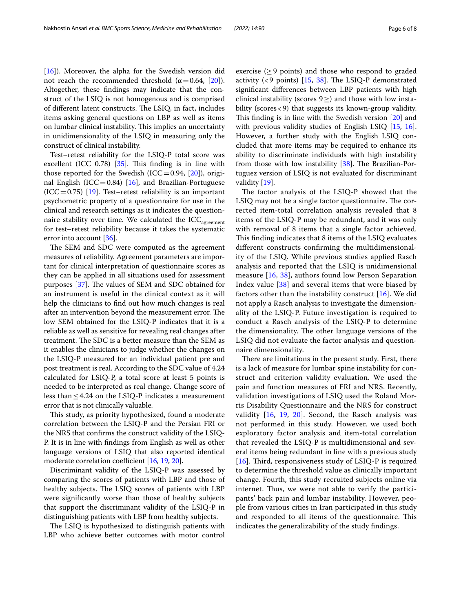[[16\]](#page-6-15)). Moreover, the alpha for the Swedish version did not reach the recommended threshold ( $α = 0.64$ , [\[20\]](#page-7-0)). Altogether, these fndings may indicate that the construct of the LSIQ is not homogenous and is comprised of different latent constructs. The LSIQ, in fact, includes items asking general questions on LBP as well as items on lumbar clinical instability. This implies an uncertainty in unidimensionality of the LSIQ in measuring only the construct of clinical instability.

Test–retest reliability for the LSIQ-P total score was excellent (ICC  $0.78$ ) [\[35\]](#page-7-15). This finding is in line with those reported for the Swedish (ICC=0.94,  $[20]$ ), origi-nal English (ICC=0.84) [[16\]](#page-6-15), and Brazilian-Portuguese  $(ICC=0.75)$  [\[19\]](#page-6-18). Test–retest reliability is an important psychometric property of a questionnaire for use in the clinical and research settings as it indicates the questionnaire stability over time. We calculated the ICC<sub>agreement</sub> for test–retest reliability because it takes the systematic error into account [\[36](#page-7-16)].

The SEM and SDC were computed as the agreement measures of reliability. Agreement parameters are important for clinical interpretation of questionnaire scores as they can be applied in all situations used for assessment purposes  $[37]$  $[37]$ . The values of SEM and SDC obtained for an instrument is useful in the clinical context as it will help the clinicians to fnd out how much changes is real after an intervention beyond the measurement error. The low SEM obtained for the LSIQ-P indicates that it is a reliable as well as sensitive for revealing real changes after treatment. The SDC is a better measure than the SEM as it enables the clinicians to judge whether the changes on the LSIQ-P measured for an individual patient pre and post treatment is real. According to the SDC value of 4.24 calculated for LSIQ-P, a total score at least 5 points is needed to be interpreted as real change. Change score of less than  $\leq$  4.24 on the LSIQ-P indicates a measurement error that is not clinically valuable.

This study, as priority hypothesized, found a moderate correlation between the LSIQ-P and the Persian FRI or the NRS that confrms the construct validity of the LSIQ-P. It is in line with fndings from English as well as other language versions of LSIQ that also reported identical moderate correlation coefficient  $[16, 19, 20]$  $[16, 19, 20]$  $[16, 19, 20]$  $[16, 19, 20]$ .

Discriminant validity of the LSIQ-P was assessed by comparing the scores of patients with LBP and those of healthy subjects. The LSIQ scores of patients with LBP were signifcantly worse than those of healthy subjects that support the discriminant validity of the LSIQ-P in distinguishing patients with LBP from healthy subjects.

The LSIQ is hypothesized to distinguish patients with LBP who achieve better outcomes with motor control exercise ( $\geq$ 9 points) and those who respond to graded activity (<9 points) [[15,](#page-6-13) [38\]](#page-7-18). The LSIQ-P demonstrated signifcant diferences between LBP patients with high clinical instability (scores  $9 \geq$ ) and those with low instability (scores<9) that suggests its known-group validity. This finding is in line with the Swedish version  $[20]$  $[20]$  and with previous validity studies of English LSIQ [\[15](#page-6-13), [16](#page-6-15)]. However, a further study with the English LSIQ concluded that more items may be required to enhance its ability to discriminate individuals with high instability from those with low instability  $[38]$  $[38]$  $[38]$ . The Brazilian-Portuguez version of LSIQ is not evaluated for discriminant validity [\[19](#page-6-18)].

The factor analysis of the  $LSIQ-P$  showed that the LSIQ may not be a single factor questionnaire. The corrected item-total correlation analysis revealed that 8 items of the LSIQ-P may be redundant, and it was only with removal of 8 items that a single factor achieved. This finding indicates that 8 items of the LSIQ evaluates diferent constructs confrming the multidimensionality of the LSIQ. While previous studies applied Rasch analysis and reported that the LSIQ is unidimensional measure [[16,](#page-6-15) [38](#page-7-18)], authors found low Person Separation Index value [[38\]](#page-7-18) and several items that were biased by factors other than the instability construct [[16](#page-6-15)]. We did not apply a Rasch analysis to investigate the dimensionality of the LSIQ-P. Future investigation is required to conduct a Rasch analysis of the LSIQ-P to determine the dimensionality. The other language versions of the LSIQ did not evaluate the factor analysis and questionnaire dimensionality.

There are limitations in the present study. First, there is a lack of measure for lumbar spine instability for construct and criterion validity evaluation. We used the pain and function measures of FRI and NRS. Recently, validation investigations of LSIQ used the Roland Morris Disability Questionnaire and the NRS for construct validity [[16](#page-6-15), [19](#page-6-18), [20\]](#page-7-0). Second, the Rasch analysis was not performed in this study. However, we used both exploratory factor analysis and item-total correlation that revealed the LSIQ-P is multidimensional and several items being redundant in line with a previous study [[16](#page-6-15)]. Third, responsiveness study of LSIQ-P is required to determine the threshold value as clinically important change. Fourth, this study recruited subjects online via internet. Thus, we were not able to verify the participants' back pain and lumbar instability. However, people from various cities in Iran participated in this study and responded to all items of the questionnaire. This indicates the generalizability of the study fndings.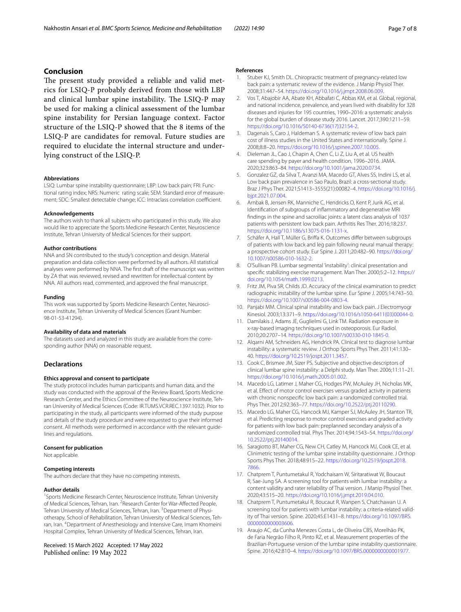## **Conclusion**

The present study provided a reliable and valid metrics for LSIQ-P probably derived from those with LBP and clinical lumbar spine instability. The LSIQ-P may be used for making a clinical assessment of the lumbar spine instability for Persian language context. Factor structure of the LSIQ-P showed that the 8 items of the LSIQ-P are candidates for removal. Future studies are required to elucidate the internal structure and underlying construct of the LSIQ-P.

#### **Abbreviations**

LSIQ: Lumbar spine instability questionnaire; LBP: Low back pain; FRI: Functional rating index; NRS: Numeric rating scale; SEM: Standard error of measure‑ ment; SDC: Smallest detectable change; ICC: Intraclass correlation coefficient.

#### **Acknowledgements**

The authors wish to thank all subjects who participated in this study. We also would like to appreciate the Sports Medicine Research Center, Neuroscience Institute, Tehran University of Medical Sciences for their support.

#### **Author contributions**

NNA and SN contributed to the study's conception and design. Material preparation and data collection were performed by all authors. All statistical analyses were performed by NNA. The frst draft of the manuscript was written by ZA that was reviewed, revised and rewritten for intellectual content by NNA. All authors read, commented, and approved the fnal manuscript.

#### **Funding**

This work was supported by Sports Medicine Research Center, Neuroscience Institute, Tehran University of Medical Sciences (Grant Number: 98-01-53-41294).

#### **Availability of data and materials**

The datasets used and analyzed in this study are available from the corresponding author (NNA) on reasonable request.

#### **Declarations**

#### **Ethics approval and consent to participate**

The study protocol includes human participants and human data, and the study was conducted with the approval of the Review Board, Sports Medicine Research Center, and the Ethics Committee of the Neuroscience Institute, Tehran University of Medical Sciences (Code: IR.TUMS.VCR.REC.1397.1032). Prior to participating in the study, all participants were informed of the study purpose and details of the study procedure and were requested to give their informed consent. All methods were performed in accordance with the relevant guidelines and regulations.

#### **Consent for publication**

Not applicable.

#### **Competing interests**

The authors declare that they have no competing interests.

#### **Author details**

<sup>1</sup> Sports Medicine Research Center, Neuroscience Institute, Tehran University of Medical Sciences, Tehran, Iran. <sup>2</sup> Research Center for War-Affected People, Tehran University of Medical Sciences, Tehran, Iran. <sup>3</sup> Department of Physiotherapy, School of Rehabilitation, Tehran University of Medical Sciences, Tehran, Iran. <sup>4</sup> Department of Anesthesiology and Intensive Care, Imam Khomeini Hospital Complex, Tehran University of Medical Sciences, Tehran, Iran.

#### Received: 15 March 2022 Accepted: 17 May 2022 Published online: 19 May 2022

#### **References**

- <span id="page-6-0"></span>1. Stuber KJ, Smith DL. Chiropractic treatment of pregnancy-related low back pain: a systematic review of the evidence. J Manip Physiol Ther. 2008;31:447–54.<https://doi.org/10.1016/j.jmpt.2008.06.009>.
- <span id="page-6-1"></span>2. Vos T, Abajobir AA, Abate KH, Abbafati C, Abbas KM, et al. Global, regional, and national incidence, prevalence, and years lived with disability for 328 diseases and injuries for 195 countries, 1990–2016: a systematic analysis for the global burden of disease study 2016. Lancet. 2017;390:1211–59. [https://doi.org/10.1016/S0140-6736\(17\)32154-2](https://doi.org/10.1016/S0140-6736(17)32154-2).
- <span id="page-6-2"></span>3. Dagenais S, Caro J, Haldeman S. A systematic review of low back pain cost of illness studies in the United States and internationally. Spine J. 2008;8:8–20. [https://doi.org/10.1016/j.spinee.2007.10.005.](https://doi.org/10.1016/j.spinee.2007.10.005)
- <span id="page-6-3"></span>4. Dieleman JL, Cao J, Chapin A, Chen C, Li Z, Liu A, et al. US health care spending by payer and health condition, 1996–2016. JAMA. 2020;323:863–84. <https://doi.org/10.1001/jama.2020.0734>.
- <span id="page-6-4"></span>5. Gonzalez GZ, da Silva T, Avanzi MA, Macedo GT, Alves SS, Indini LS, et al. Low back pain prevalence in Sao Paulo, Brazil: a cross-sectional study. Braz J Phys Ther. 2021;S1413–3555(21):00082–4. [https://doi.org/10.1016/j.](https://doi.org/10.1016/j.bjpt.2021.07.004) [bjpt.2021.07.004.](https://doi.org/10.1016/j.bjpt.2021.07.004)
- <span id="page-6-5"></span>6. Arnbak B, Jensen RK, Manniche C, Hendricks O, Kent P, Jurik AG, et al. Identifcation of subgroups of infammatory and degenerative MRI fndings in the spine and sacroiliac joints: a latent class analysis of 1037 patients with persistent low back pain. Arthritis Res Ther. 2016;18:237. <https://doi.org/10.1186/s13075-016-1131-x>.
- <span id="page-6-6"></span>7. Schäfer A, Hall T, Müller G, Brifa K. Outcomes difer between subgroups of patients with low back and leg pain following neural manual therapy: a prospective cohort study. Eur Spine J. 2011;20:482–90. [https://doi.org/](https://doi.org/10.1007/s00586-010-1632-2) [10.1007/s00586-010-1632-2.](https://doi.org/10.1007/s00586-010-1632-2)
- <span id="page-6-7"></span>8. O'Sullivan PB. Lumbar segmental 'instability': clinical presentation and specifc stabilizing exercise management. Man Ther. 2000;5:2–12. [https://](https://doi.org/10.1054/math.1999.0213) [doi.org/10.1054/math.1999.0213](https://doi.org/10.1054/math.1999.0213).
- <span id="page-6-8"></span>9. Fritz JM, Piva SR, Childs JD. Accuracy of the clinical examination to predict radiographic instability of the lumbar spine. Eur Spine J. 2005;14:743–50. [https://doi.org/10.1007/s00586-004-0803-4.](https://doi.org/10.1007/s00586-004-0803-4)
- <span id="page-6-9"></span>10. Panjabi MM. Clinical spinal instability and low back pain. J Electromyogr Kinesiol. 2003;13:371–9. [https://doi.org/10.1016/s1050-6411\(03\)00044-0](https://doi.org/10.1016/s1050-6411(03)00044-0).
- <span id="page-6-10"></span>11. Damilakis J, Adams JE, Guglielmi G, Link TM. Radiation exposure in x-ray-based imaging techniques used in osteoporosis. Eur Radiol. 2010;20:2707–14. [https://doi.org/10.1007/s00330-010-1845-0.](https://doi.org/10.1007/s00330-010-1845-0)
- <span id="page-6-11"></span>12. Alqarni AM, Schneiders AG, Hendrick PA. Clinical test to diagnose lumbar instability: a systematic review. J Orthop Sports Phys Ther. 2011;41:130– 40. [https://doi.org/10.2519/jospt.2011.3457.](https://doi.org/10.2519/jospt.2011.3457)
- <span id="page-6-12"></span>13. Cook C, Brismee JM, Sizer PS. Subjective and objective descriptors of clinical lumbar spine instability: a Delphi study. Man Ther. 2006;11:11–21. <https://doi.org/10.1016/j.math.2005.01.002>.
- <span id="page-6-14"></span>14. Macedo LG, Latimer J, Maher CG, Hodges PW, McAuley JH, Nicholas MK, et al. Efect of motor control exercises versus graded activity in patients with chronic nonspecifc low back pain: a randomized controlled trial. Phys Ther. 2012;92:363–77. [https://doi.org/10.2522/ptj.20110290.](https://doi.org/10.2522/ptj.20110290)
- <span id="page-6-13"></span>15. Macedo LG, Maher CG, Hancock MJ, Kamper SJ, McAuley JH, Stanton TR, et al. Predicting response to motor control exercises and graded activity for patients with low back pain: preplanned secondary analysis of a randomized controlled trial. Phys Ther. 2014;94:1543–54. [https://doi.org/](https://doi.org/10.2522/ptj.20140014) [10.2522/ptj.20140014](https://doi.org/10.2522/ptj.20140014).
- <span id="page-6-15"></span>16. Saragiotto BT, Maher CG, New CH, Catley M, Hancock MJ, Cook CE, et al. Clinimetric testing of the lumbar spine instability questionnaire. J Orthop Sports Phys Ther. 2018;48:915–22. [https://doi.org/10.2519/jospt.2018.](https://doi.org/10.2519/jospt.2018.7866) [7866](https://doi.org/10.2519/jospt.2018.7866).
- <span id="page-6-16"></span>17. Chatprem T, Puntumetakul R, Yodchaisarn W, Siritaratiwat W, Boucaut R, Sae-Jung SA. A screening tool for patients with lumbar instability: a content validity and rater reliability of Thai version. J Manip Physiol Ther. 2020;43:515–20.<https://doi.org/10.1016/j.jmpt.2019.04.010>.
- <span id="page-6-17"></span>18. Chatprem T, Puntumetakul R, Boucaut R, Wanpen S, Chatchawan U. A screening tool for patients with lumbar instability: a criteria-related validity of Thai version. Spine. 2020;45:E1431–8. [https://doi.org/10.1097/BRS.](https://doi.org/10.1097/BRS.0000000000003606) [0000000000003606](https://doi.org/10.1097/BRS.0000000000003606).
- <span id="page-6-18"></span>19. Araujo AC, da Cunha Menezes Costa L, de Oliveira CBS, Morelhão PK, de Faria Negrão Filho R, Pinto RZ, et al. Measurement properties of the Brazilian-Portuguese version of the lumbar spine instability questionnaire. Spine. 2016;42:810–4.<https://doi.org/10.1097/BRS.0000000000001977>.